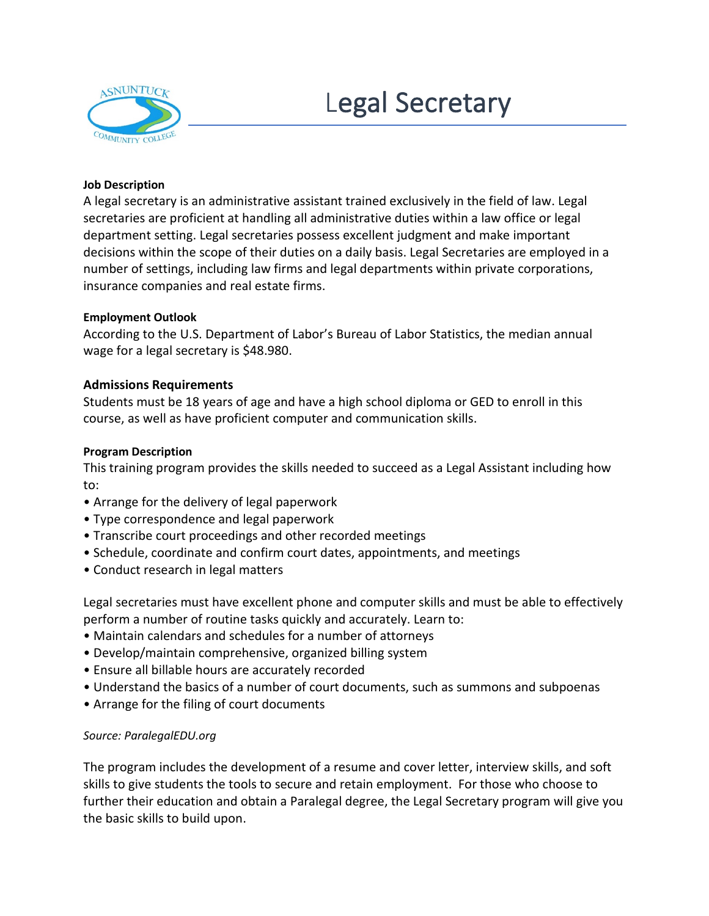# Legal Secretary



## **Job Description**

A legal secretary is an administrative assistant trained exclusively in the field of law. Legal secretaries are proficient at handling all administrative duties within a law office or legal department setting. Legal secretaries possess excellent judgment and make important decisions within the scope of their duties on a daily basis. Legal Secretaries are employed in a number of settings, including law firms and legal departments within private corporations, insurance companies and real estate firms.

## **Employment Outlook**

According to the U.S. Department of Labor's Bureau of Labor Statistics, the median annual wage for a legal secretary is \$48.980.

# **Admissions Requirements**

Students must be 18 years of age and have a high school diploma or GED to enroll in this course, as well as have proficient computer and communication skills.

## **Program Description**

This training program provides the skills needed to succeed as a Legal Assistant including how to:

- Arrange for the delivery of legal paperwork
- Type correspondence and legal paperwork
- Transcribe court proceedings and other recorded meetings
- Schedule, coordinate and confirm court dates, appointments, and meetings
- Conduct research in legal matters

Legal secretaries must have excellent phone and computer skills and must be able to effectively perform a number of routine tasks quickly and accurately. Learn to:

- Maintain calendars and schedules for a number of attorneys
- Develop/maintain comprehensive, organized billing system
- Ensure all billable hours are accurately recorded
- Understand the basics of a number of court documents, such as summons and subpoenas
- Arrange for the filing of court documents

# *Source: ParalegalEDU.org*

The program includes the development of a resume and cover letter, interview skills, and soft skills to give students the tools to secure and retain employment. For those who choose to further their education and obtain a Paralegal degree, the Legal Secretary program will give you the basic skills to build upon.